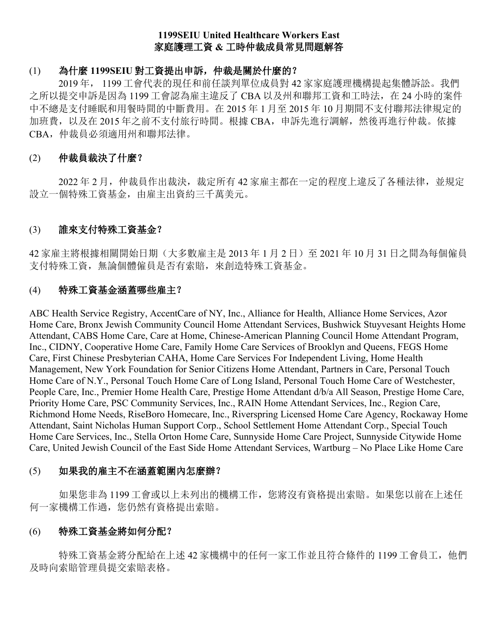# **1199SEIU United Healthcare Workers East** 家庭護理工資 **&** 工時仲裁成員常見問題解答

# (1) 為什麼 **1199SEIU** 對工資提出申訴,仲裁是關於什麼的?

 2019 年, 1199 工會代表的現任和前任談判單位成員對 42 家家庭護理機構提起集體訴訟。我們 之所以提交申訴是因為 1199 工會認為雇主違反了 CBA 以及州和聯邦工資和工時法, 在 24 小時的案件 中不總是支付睡眠和用餐時間的中斷費用。在 2015 年 1 月至 2015 年 10 月期間不支付聯邦法律規定的 加班費,以及在 2015 年之前不支付旅行時間。根據 CBA,申訴先進行調解,然後再進行仲裁。依據 CBA,仲裁員必須適用州和聯邦法律。

# (2) 仲裁員裁決了什麼?

 2022 年 2 月,仲裁員作出裁決,裁定所有 42 家雇主都在一定的程度上違反了各種法律,並規定 設立一個特殊工資基金,由雇主出資約三千萬美元。

# (3) 誰來支付特殊工資基金?

42 家雇主將根據相關開始日期(大多數雇主是 2013年1月2日)至 2021年 10月31日之間為每個僱員 支付特殊工資,無論個體僱員是否有索賠, 來創造特殊工資基金。

## (4) 特殊工資基金涵蓋哪些雇主?

ABC Health Service Registry, AccentCare of NY, Inc., Alliance for Health, Alliance Home Services, Azor Home Care, Bronx Jewish Community Council Home Attendant Services, Bushwick Stuyvesant Heights Home Attendant, CABS Home Care, Care at Home, Chinese-American Planning Council Home Attendant Program, Inc., CIDNY, Cooperative Home Care, Family Home Care Services of Brooklyn and Queens, FEGS Home Care, First Chinese Presbyterian CAHA, Home Care Services For Independent Living, Home Health Management, New York Foundation for Senior Citizens Home Attendant, Partners in Care, Personal Touch Home Care of N.Y., Personal Touch Home Care of Long Island, Personal Touch Home Care of Westchester, People Care, Inc., Premier Home Health Care, Prestige Home Attendant d/b/a All Season, Prestige Home Care, Priority Home Care, PSC Community Services, Inc., RAIN Home Attendant Services, Inc., Region Care, Richmond Home Needs, RiseBoro Homecare, Inc., Riverspring Licensed Home Care Agency, Rockaway Home Attendant, Saint Nicholas Human Support Corp., School Settlement Home Attendant Corp., Special Touch Home Care Services, Inc., Stella Orton Home Care, Sunnyside Home Care Project, Sunnyside Citywide Home Care, United Jewish Council of the East Side Home Attendant Services, Wartburg – No Place Like Home Care

## (5) 如果我的雇主不在涵蓋範圍內怎麼辦?

如果您非為 1199 工會或以上未列出的機構工作,您將沒有資格提出索賠。如果您以前在上述任 何一家機構工作過,您仍然有資格提出索賠。

# (6) 特殊工資基金將如何分配?

特殊工資基金將分配給在上述 42 家機構中的任何一家工作並且符合條件的 1199 工會員工, 他們 及時向索賠管理員提交索賠表格。